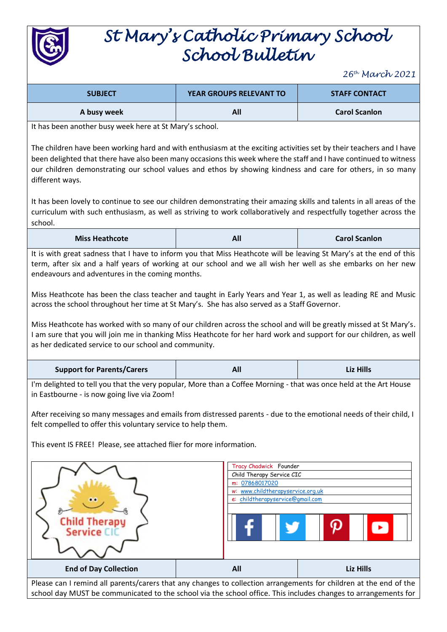

## *St Mary's Catholic Primary School School Bulletin*

*26th March 2021*

| <b>SUBJECT</b> | <b>YEAR GROUPS RELEVANT TO</b> | <b>STAFF CONTACT</b> |
|----------------|--------------------------------|----------------------|
| A busy week    | All                            | <b>Carol Scanlon</b> |

It has been another busy week here at St Mary's school.

The children have been working hard and with enthusiasm at the exciting activities set by their teachers and I have been delighted that there have also been many occasions this week where the staff and I have continued to witness our children demonstrating our school values and ethos by showing kindness and care for others, in so many different ways.

It has been lovely to continue to see our children demonstrating their amazing skills and talents in all areas of the curriculum with such enthusiasm, as well as striving to work collaboratively and respectfully together across the school.

| <b>Miss Heathcote</b> | All<br><b>Carol Scanlon</b> |
|-----------------------|-----------------------------|
|-----------------------|-----------------------------|

It is with great sadness that I have to inform you that Miss Heathcote will be leaving St Mary's at the end of this term, after six and a half years of working at our school and we all wish her well as she embarks on her new endeavours and adventures in the coming months.

Miss Heathcote has been the class teacher and taught in Early Years and Year 1, as well as leading RE and Music across the school throughout her time at St Mary's. She has also served as a Staff Governor.

Miss Heathcote has worked with so many of our children across the school and will be greatly missed at St Mary's. I am sure that you will join me in thanking Miss Heathcote for her hard work and support for our children, as well as her dedicated service to our school and community.

| <b>Support for Parents/Carers</b> | All | <b>Liz Hills</b> |
|-----------------------------------|-----|------------------|
|-----------------------------------|-----|------------------|

I'm delighted to tell you that the very popular, More than a Coffee Morning - that was once held at the Art House in Eastbourne - is now going live via Zoom!

After receiving so many messages and emails from distressed parents - due to the emotional needs of their child, I felt compelled to offer this voluntary service to help them.

This event IS FREE! Please, see attached flier for more information.



Please can I remind all parents/carers that any changes to collection arrangements for children at the end of the school day MUST be communicated to the school via the school office. This includes changes to arrangements for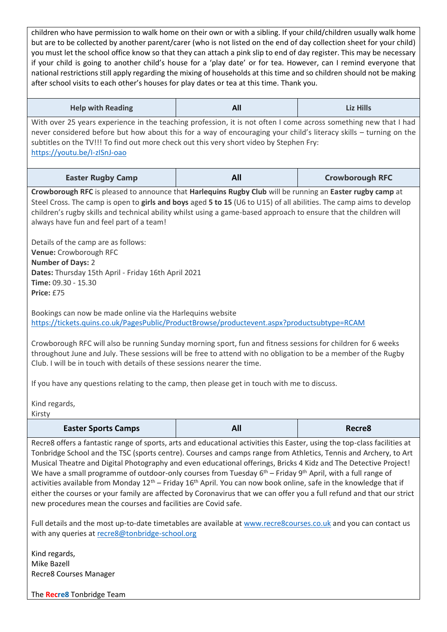children who have permission to walk home on their own or with a sibling. If your child/children usually walk home but are to be collected by another parent/carer (who is not listed on the end of day collection sheet for your child) you must let the school office know so that they can attach a pink slip to end of day register. This may be necessary if your child is going to another child's house for a 'play date' or for tea. However, can I remind everyone that national restrictions still apply regarding the mixing of households at this time and so children should not be making after school visits to each other's houses for play dates or tea at this time. Thank you.

| <b>Help with Reading</b>                                                                                                                                                                                                                                                                                                                                                                                                                                                                                                                                                                   | All | Liz Hills              |  |
|--------------------------------------------------------------------------------------------------------------------------------------------------------------------------------------------------------------------------------------------------------------------------------------------------------------------------------------------------------------------------------------------------------------------------------------------------------------------------------------------------------------------------------------------------------------------------------------------|-----|------------------------|--|
| With over 25 years experience in the teaching profession, it is not often I come across something new that I had<br>never considered before but how about this for a way of encouraging your child's literacy skills - turning on the<br>subtitles on the TV!!! To find out more check out this very short video by Stephen Fry:<br>https://youtu.be/l-zlSnJ-oao                                                                                                                                                                                                                           |     |                        |  |
| <b>Easter Rugby Camp</b>                                                                                                                                                                                                                                                                                                                                                                                                                                                                                                                                                                   | All | <b>Crowborough RFC</b> |  |
| Crowborough RFC is pleased to announce that Harlequins Rugby Club will be running an Easter rugby camp at<br>Steel Cross. The camp is open to girls and boys aged 5 to 15 (U6 to U15) of all abilities. The camp aims to develop<br>children's rugby skills and technical ability whilst using a game-based approach to ensure that the children will<br>always have fun and feel part of a team!<br>Details of the camp are as follows:<br>Venue: Crowborough RFC<br><b>Number of Days: 2</b><br>Dates: Thursday 15th April - Friday 16th April 2021<br>Time: 09.30 - 15.30<br>Price: £75 |     |                        |  |
| Bookings can now be made online via the Harlequins website<br>https://tickets.quins.co.uk/PagesPublic/ProductBrowse/productevent.aspx?productsubtype=RCAM                                                                                                                                                                                                                                                                                                                                                                                                                                  |     |                        |  |
| Crowborough RFC will also be running Sunday morning sport, fun and fitness sessions for children for 6 weeks<br>throughout June and July. These sessions will be free to attend with no obligation to be a member of the Rugby<br>Club. I will be in touch with details of these sessions nearer the time.<br>If you have any questions relating to the camp, then please get in touch with me to discuss.                                                                                                                                                                                 |     |                        |  |
| Kind regards,<br>Kirsty                                                                                                                                                                                                                                                                                                                                                                                                                                                                                                                                                                    |     |                        |  |
| <b>Easter Sports Camps</b>                                                                                                                                                                                                                                                                                                                                                                                                                                                                                                                                                                 | All | Recre8                 |  |
| Recre8 offers a fantastic range of sports, arts and educational activities this Easter, using the top-class facilities at<br>Tonbridge School and the TSC (sports centre). Courses and camps range from Athletics, Tennis and Archery, to Art<br>Musical Theodor and District Dhedemonter and array editorial effections. Dutche A Ride and The Deductive Ductual                                                                                                                                                                                                                          |     |                        |  |

Musical Theatre and Digital Photography and even educational offerings, Bricks 4 Kidz and The Detective Project! We have a small programme of outdoor-only courses from Tuesday 6<sup>th</sup> – Friday 9<sup>th</sup> April, with a full range of activities available from Monday  $12^{th}$  – Friday 16<sup>th</sup> April. You can now book online, safe in the knowledge that if either the courses or your family are affected by Coronavirus that we can offer you a full refund and that our strict new procedures mean the courses and facilities are Covid safe.

Full details and the most up-to-date timetables are available at [www.recre8courses.co.uk](http://www.recre8courses.co.uk/) and you can contact us with any queries at [recre8@tonbridge-school.org](mailto:recre8@tonbridge-school.org)

Kind regards, Mike Bazell Recre8 Courses Manager

The **Recre8** Tonbridge Team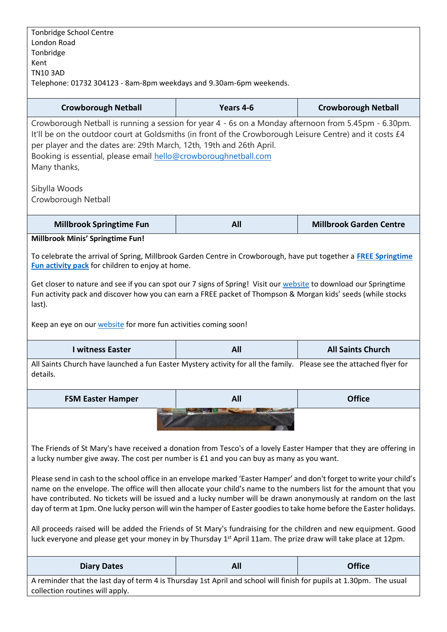| London Road<br>Tonbridge                                                                                                                                                                                                                      |           |                                |
|-----------------------------------------------------------------------------------------------------------------------------------------------------------------------------------------------------------------------------------------------|-----------|--------------------------------|
| Kent                                                                                                                                                                                                                                          |           |                                |
| <b>TN10 3AD</b>                                                                                                                                                                                                                               |           |                                |
| Telephone: 01732 304123 - 8am-8pm weekdays and 9.30am-6pm weekends.                                                                                                                                                                           |           |                                |
| <b>Crowborough Netball</b>                                                                                                                                                                                                                    | Years 4-6 | <b>Crowborough Netball</b>     |
| Crowborough Netball is running a session for year 4 - 6s on a Monday afternoon from 5.45pm - 6.30pm.                                                                                                                                          |           |                                |
| It'll be on the outdoor court at Goldsmiths (in front of the Crowborough Leisure Centre) and it costs £4                                                                                                                                      |           |                                |
| per player and the dates are: 29th March, 12th, 19th and 26th April.<br>Booking is essential, please email hello@crowboroughnetball.com                                                                                                       |           |                                |
| Many thanks,                                                                                                                                                                                                                                  |           |                                |
|                                                                                                                                                                                                                                               |           |                                |
| Sibylla Woods                                                                                                                                                                                                                                 |           |                                |
| Crowborough Netball                                                                                                                                                                                                                           |           |                                |
| <b>Millbrook Springtime Fun</b>                                                                                                                                                                                                               | All       | <b>Millbrook Garden Centre</b> |
| Millbrook Minis' Springtime Fun!                                                                                                                                                                                                              |           |                                |
| To celebrate the arrival of Spring, Millbrook Garden Centre in Crowborough, have put together a <b>FREE Springtime</b>                                                                                                                        |           |                                |
| Fun activity pack for children to enjoy at home.                                                                                                                                                                                              |           |                                |
| Get closer to nature and see if you can spot our 7 signs of Spring! Visit our website to download our Springtime                                                                                                                              |           |                                |
| Fun activity pack and discover how you can earn a FREE packet of Thompson & Morgan kids' seeds (while stocks                                                                                                                                  |           |                                |
| last).                                                                                                                                                                                                                                        |           |                                |
| Keep an eye on our website for more fun activities coming soon!                                                                                                                                                                               |           |                                |
| <b>I witness Easter</b>                                                                                                                                                                                                                       | All       | <b>All Saints Church</b>       |
| All Saints Church have launched a fun Easter Mystery activity for all the family. Please see the attached flyer for                                                                                                                           |           |                                |
| details.                                                                                                                                                                                                                                      |           |                                |
|                                                                                                                                                                                                                                               |           |                                |
| <b>FSM Easter Hamper</b>                                                                                                                                                                                                                      | All       | <b>Office</b>                  |
|                                                                                                                                                                                                                                               |           |                                |
|                                                                                                                                                                                                                                               |           |                                |
|                                                                                                                                                                                                                                               |           |                                |
| The Friends of St Mary's have received a donation from Tesco's of a lovely Easter Hamper that they are offering in                                                                                                                            |           |                                |
| a lucky number give away. The cost per number is £1 and you can buy as many as you want.                                                                                                                                                      |           |                                |
| Please send in cash to the school office in an envelope marked 'Easter Hamper' and don't forget to write your child's                                                                                                                         |           |                                |
| name on the envelope. The office will then allocate your child's name to the numbers list for the amount that you                                                                                                                             |           |                                |
| have contributed. No tickets will be issued and a lucky number will be drawn anonymously at random on the last<br>day of term at 1pm. One lucky person will win the hamper of Easter goodies to take home before the Easter holidays.         |           |                                |
|                                                                                                                                                                                                                                               |           |                                |
| All proceeds raised will be added the Friends of St Mary's fundraising for the children and new equipment. Good<br>luck everyone and please get your money in by Thursday 1 <sup>st</sup> April 11am. The prize draw will take place at 12pm. |           |                                |
|                                                                                                                                                                                                                                               |           |                                |
| <b>Diary Dates</b>                                                                                                                                                                                                                            | All       | <b>Office</b>                  |
| A reminder that the last day of term 4 is Thursday 1st April and school will finish for pupils at 1.30pm. The usual                                                                                                                           |           |                                |